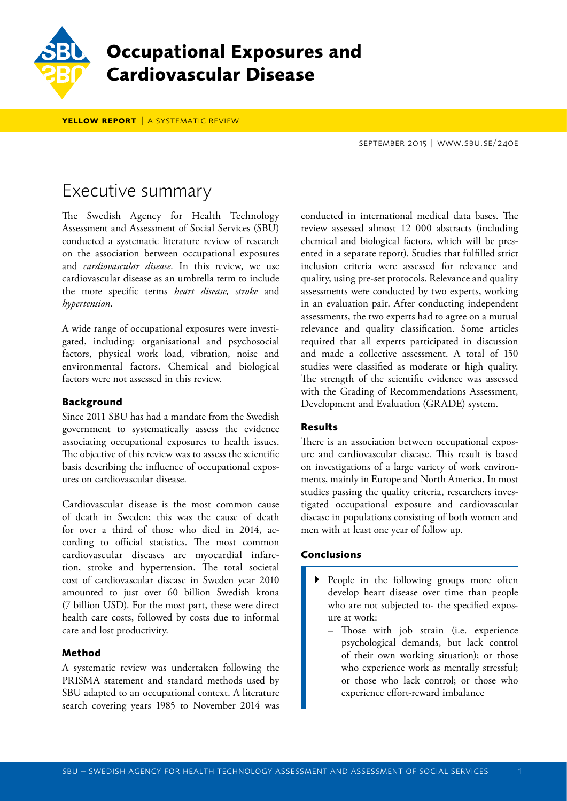

# **Occupational Exposures and Cardiovascular Disease**

YELLOW REPORT | A SYSTEMATIC REVIEW

september 2015 | www.sbu.se/240e

# Executive summary

The Swedish Agency for Health Technology Assessment and Assessment of Social Services (SBU) conducted a systematic literature review of research on the association between occupational exposures and *cardiovascular disease*. In this review, we use cardiovascular disease as an umbrella term to include the more specific terms *heart disease, stroke* and *hypertension*.

A wide range of occupational exposures were investigated, including: organisational and psychosocial factors, physical work load, vibration, noise and environmental factors. Chemical and biological factors were not assessed in this review.

# **Background**

Since 2011 SBU has had a mandate from the Swedish government to systematically assess the evidence associating occupational exposures to health issues. The objective of this review was to assess the scientific basis describing the influence of occupational exposures on cardiovascular disease.

Cardiovascular disease is the most common cause of death in Sweden; this was the cause of death for over a third of those who died in 2014, according to official statistics. The most common cardiovascular diseases are myocardial infarction, stroke and hypertension. The total societal cost of cardiovascular disease in Sweden year 2010 amounted to just over 60 billion Swedish krona (7 billion USD). For the most part, these were direct health care costs, followed by costs due to informal care and lost productivity.

# **Method**

A systematic review was undertaken following the PRISMA statement and standard methods used by SBU adapted to an occupational context. A literature search covering years 1985 to November 2014 was conducted in international medical data bases. The review assessed almost 12 000 abstracts (including chemical and biological factors, which will be presented in a separate report). Studies that fulfilled strict inclusion criteria were assessed for relevance and quality, using pre-set protocols. Relevance and quality assessments were conducted by two experts, working in an evaluation pair. After conducting independent assessments, the two experts had to agree on a mutual relevance and quality classification. Some articles required that all experts participated in discussion and made a collective assessment. A total of 150 studies were classified as moderate or high quality. The strength of the scientific evidence was assessed with the Grading of Recommendations Assessment, Development and Evaluation (GRADE) system.

# **Results**

There is an association between occupational exposure and cardiovascular disease. This result is based on investigations of a large variety of work environments, mainly in Europe and North America. In most studies passing the quality criteria, researchers investigated occupational exposure and cardiovascular disease in populations consisting of both women and men with at least one year of follow up.

#### **Conclusions**

- People in the following groups more often develop heart disease over time than people who are not subjected to- the specified exposure at work:
	- Those with job strain (i.e. experience psychological demands, but lack control of their own working situation); or those who experience work as mentally stressful; or those who lack control; or those who experience effort-reward imbalance